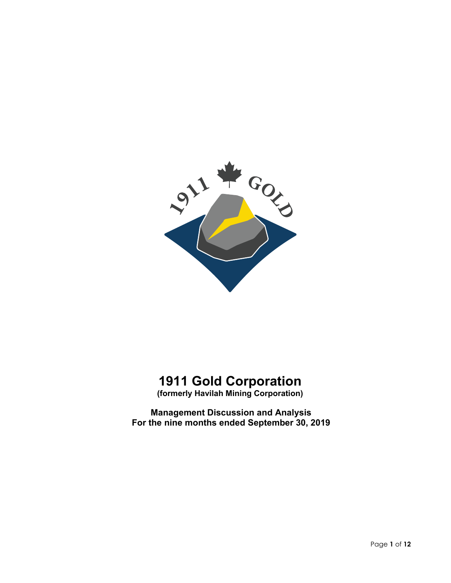

# **1911 Gold Corporation**

**(formerly Havilah Mining Corporation)**

**Management Discussion and Analysis For the nine months ended September 30, 2019**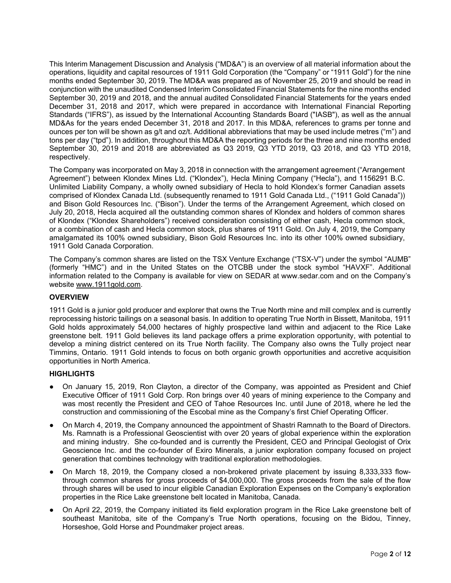This Interim Management Discussion and Analysis ("MD&A") is an overview of all material information about the operations, liquidity and capital resources of 1911 Gold Corporation (the "Company" or "1911 Gold") for the nine months ended September 30, 2019. The MD&A was prepared as of November 25, 2019 and should be read in conjunction with the unaudited Condensed Interim Consolidated Financial Statements for the nine months ended September 30, 2019 and 2018, and the annual audited Consolidated Financial Statements for the years ended December 31, 2018 and 2017, which were prepared in accordance with International Financial Reporting Standards ("IFRS"), as issued by the International Accounting Standards Board ("IASB"), as well as the annual MD&As for the years ended December 31, 2018 and 2017. In this MD&A, references to grams per tonne and ounces per ton will be shown as g/t and oz/t. Additional abbreviations that may be used include metres ("m") and tons per day ("tpd"). In addition, throughout this MD&A the reporting periods for the three and nine months ended September 30, 2019 and 2018 are abbreviated as Q3 2019, Q3 YTD 2019, Q3 2018, and Q3 YTD 2018, respectively.

The Company was incorporated on May 3, 2018 in connection with the arrangement agreement ("Arrangement Agreement") between Klondex Mines Ltd. ("Klondex"), Hecla Mining Company ("Hecla"), and 1156291 B.C. Unlimited Liability Company, a wholly owned subsidiary of Hecla to hold Klondex's former Canadian assets comprised of Klondex Canada Ltd. (subsequently renamed to 1911 Gold Canada Ltd., ("1911 Gold Canada")) and Bison Gold Resources Inc. ("Bison"). Under the terms of the Arrangement Agreement, which closed on July 20, 2018, Hecla acquired all the outstanding common shares of Klondex and holders of common shares of Klondex ("Klondex Shareholders") received consideration consisting of either cash, Hecla common stock, or a combination of cash and Hecla common stock, plus shares of 1911 Gold. On July 4, 2019, the Company amalgamated its 100% owned subsidiary, Bison Gold Resources Inc. into its other 100% owned subsidiary, 1911 Gold Canada Corporation.

The Company's common shares are listed on the TSX Venture Exchange ("TSX-V") under the symbol "AUMB" (formerly "HMC") and in the United States on the OTCBB under the stock symbol "HAVXF". Additional information related to the Company is available for view on SEDAR at www.sedar.com and on the Company's website [www.1911gold.com.](http://www.1911gold.com/)

# **OVERVIEW**

1911 Gold is a junior gold producer and explorer that owns the True North mine and mill complex and is currently reprocessing historic tailings on a seasonal basis. In addition to operating True North in Bissett, Manitoba, 1911 Gold holds approximately 54,000 hectares of highly prospective land within and adjacent to the Rice Lake greenstone belt. 1911 Gold believes its land package offers a prime exploration opportunity, with potential to develop a mining district centered on its True North facility. The Company also owns the Tully project near Timmins, Ontario. 1911 Gold intends to focus on both organic growth opportunities and accretive acquisition opportunities in North America.

#### **HIGHLIGHTS**

- On January 15, 2019, Ron Clayton, a director of the Company, was appointed as President and Chief Executive Officer of 1911 Gold Corp. Ron brings over 40 years of mining experience to the Company and was most recently the President and CEO of Tahoe Resources Inc. until June of 2018, where he led the construction and commissioning of the Escobal mine as the Company's first Chief Operating Officer.
- On March 4, 2019, the Company announced the appointment of Shastri Ramnath to the Board of Directors. Ms. Ramnath is a Professional Geoscientist with over 20 years of global experience within the exploration and mining industry. She co-founded and is currently the President, CEO and Principal Geologist of Orix Geoscience Inc. and the co-founder of Exiro Minerals, a junior exploration company focused on project generation that combines technology with traditional exploration methodologies.
- On March 18, 2019, the Company closed a non-brokered private placement by issuing 8,333,333 flowthrough common shares for gross proceeds of \$4,000,000. The gross proceeds from the sale of the flow through shares will be used to incur eligible Canadian Exploration Expenses on the Company's exploration properties in the Rice Lake greenstone belt located in Manitoba, Canada.
- On April 22, 2019, the Company initiated its field exploration program in the Rice Lake greenstone belt of southeast Manitoba, site of the Company's True North operations, focusing on the Bidou, Tinney, Horseshoe, Gold Horse and Poundmaker project areas.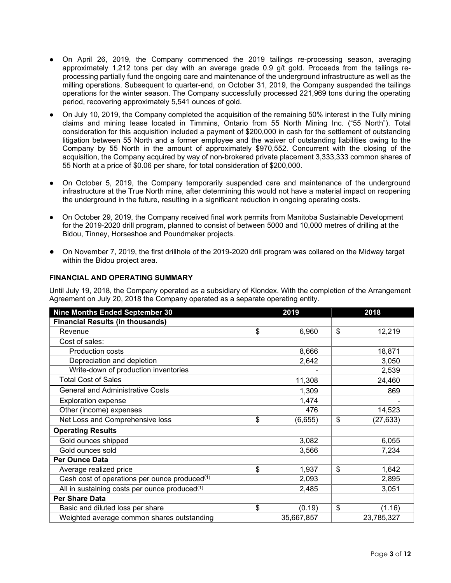- On April 26, 2019, the Company commenced the 2019 tailings re-processing season, averaging approximately 1,212 tons per day with an average grade 0.9 g/t gold. Proceeds from the tailings reprocessing partially fund the ongoing care and maintenance of the underground infrastructure as well as the milling operations. Subsequent to quarter-end, on October 31, 2019, the Company suspended the tailings operations for the winter season. The Company successfully processed 221,969 tons during the operating period, recovering approximately 5,541 ounces of gold.
- On July 10, 2019, the Company completed the acquisition of the remaining 50% interest in the Tully mining claims and mining lease located in Timmins, Ontario from 55 North Mining Inc. ("55 North"). Total consideration for this acquisition included a payment of \$200,000 in cash for the settlement of outstanding litigation between 55 North and a former employee and the waiver of outstanding liabilities owing to the Company by 55 North in the amount of approximately \$970,552. Concurrent with the closing of the acquisition, the Company acquired by way of non-brokered private placement 3,333,333 common shares of 55 North at a price of \$0.06 per share, for total consideration of \$200,000.
- On October 5, 2019, the Company temporarily suspended care and maintenance of the underground infrastructure at the True North mine, after determining this would not have a material impact on reopening the underground in the future, resulting in a significant reduction in ongoing operating costs.
- On October 29, 2019, the Company received final work permits from Manitoba Sustainable Development for the 2019-2020 drill program, planned to consist of between 5000 and 10,000 metres of drilling at the Bidou, Tinney, Horseshoe and Poundmaker projects.
- On November 7, 2019, the first drillhole of the 2019-2020 drill program was collared on the Midway target within the Bidou project area.

## **FINANCIAL AND OPERATING SUMMARY**

Until July 19, 2018, the Company operated as a subsidiary of Klondex. With the completion of the Arrangement Agreement on July 20, 2018 the Company operated as a separate operating entity.

| Nine Months Ended September 30                            | 2019          | 2018            |
|-----------------------------------------------------------|---------------|-----------------|
| <b>Financial Results (in thousands)</b>                   |               |                 |
| Revenue                                                   | \$<br>6,960   | \$<br>12,219    |
| Cost of sales:                                            |               |                 |
| <b>Production costs</b>                                   | 8,666         | 18,871          |
| Depreciation and depletion                                | 2,642         | 3,050           |
| Write-down of production inventories                      |               | 2,539           |
| <b>Total Cost of Sales</b>                                | 11,308        | 24,460          |
| <b>General and Administrative Costs</b>                   | 1,309         | 869             |
| <b>Exploration expense</b>                                | 1,474         |                 |
| Other (income) expenses                                   | 476           | 14,523          |
| Net Loss and Comprehensive loss                           | \$<br>(6,655) | \$<br>(27, 633) |
| <b>Operating Results</b>                                  |               |                 |
| Gold ounces shipped                                       | 3,082         | 6,055           |
| Gold ounces sold                                          | 3,566         | 7,234           |
| <b>Per Ounce Data</b>                                     |               |                 |
| Average realized price                                    | \$<br>1,937   | \$<br>1,642     |
| Cash cost of operations per ounce produced(1)             | 2,093         | 2,895           |
| All in sustaining costs per ounce produced <sup>(1)</sup> | 2,485         | 3,051           |
| <b>Per Share Data</b>                                     |               |                 |
| Basic and diluted loss per share                          | \$<br>(0.19)  | \$<br>(1.16)    |
| Weighted average common shares outstanding                | 35,667,857    | 23,785,327      |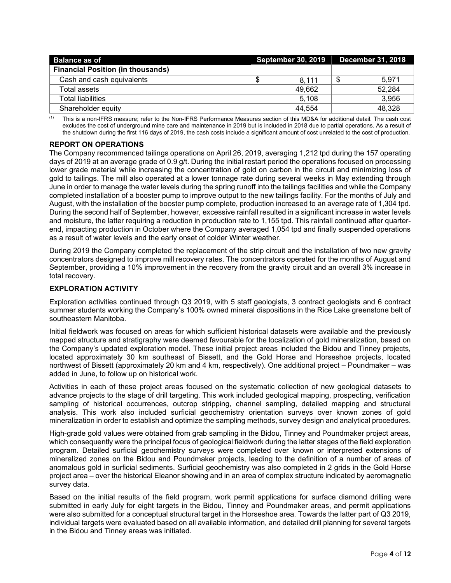| <b>Balance as of</b>                     | <b>September 30, 2019</b> | <b>December 31, 2018</b> |  |  |
|------------------------------------------|---------------------------|--------------------------|--|--|
| <b>Financial Position (in thousands)</b> |                           |                          |  |  |
| Cash and cash equivalents                | 8.111                     | 5.971                    |  |  |
| Total assets                             | 49.662                    | 52.284                   |  |  |
| Total liabilities.                       | 5.108                     | 3.956                    |  |  |
| Shareholder equity                       | 44.554                    | 48.328                   |  |  |

(1) This is a non-IFRS measure; refer to the Non-IFRS Performance Measures section of this MD&A for additional detail. The cash cost excludes the cost of underground mine care and maintenance in 2019 but is included in 2018 due to partial operations. As a result of the shutdown during the first 116 days of 2019, the cash costs include a significant amount of cost unrelated to the cost of production.

## **REPORT ON OPERATIONS**

The Company recommenced tailings operations on April 26, 2019, averaging 1,212 tpd during the 157 operating days of 2019 at an average grade of 0.9 g/t. During the initial restart period the operations focused on processing lower grade material while increasing the concentration of gold on carbon in the circuit and minimizing loss of gold to tailings. The mill also operated at a lower tonnage rate during several weeks in May extending through June in order to manage the water levels during the spring runoff into the tailings facilities and while the Company completed installation of a booster pump to improve output to the new tailings facility. For the months of July and August, with the installation of the booster pump complete, production increased to an average rate of 1,304 tpd. During the second half of September, however, excessive rainfall resulted in a significant increase in water levels and moisture, the latter requiring a reduction in production rate to 1,155 tpd. This rainfall continued after quarterend, impacting production in October where the Company averaged 1,054 tpd and finally suspended operations as a result of water levels and the early onset of colder Winter weather.

During 2019 the Company completed the replacement of the strip circuit and the installation of two new gravity concentrators designed to improve mill recovery rates. The concentrators operated for the months of August and September, providing a 10% improvement in the recovery from the gravity circuit and an overall 3% increase in total recovery.

# **EXPLORATION ACTIVITY**

Exploration activities continued through Q3 2019, with 5 staff geologists, 3 contract geologists and 6 contract summer students working the Company's 100% owned mineral dispositions in the Rice Lake greenstone belt of southeastern Manitoba.

Initial fieldwork was focused on areas for which sufficient historical datasets were available and the previously mapped structure and stratigraphy were deemed favourable for the localization of gold mineralization, based on the Company's updated exploration model. These initial project areas included the Bidou and Tinney projects, located approximately 30 km southeast of Bissett, and the Gold Horse and Horseshoe projects, located northwest of Bissett (approximately 20 km and 4 km, respectively). One additional project – Poundmaker – was added in June, to follow up on historical work.

Activities in each of these project areas focused on the systematic collection of new geological datasets to advance projects to the stage of drill targeting. This work included geological mapping, prospecting, verification sampling of historical occurrences, outcrop stripping, channel sampling, detailed mapping and structural analysis. This work also included surficial geochemistry orientation surveys over known zones of gold mineralization in order to establish and optimize the sampling methods, survey design and analytical procedures.

High-grade gold values were obtained from grab sampling in the Bidou, Tinney and Poundmaker project areas, which consequently were the principal focus of geological fieldwork during the latter stages of the field exploration program. Detailed surficial geochemistry surveys were completed over known or interpreted extensions of mineralized zones on the Bidou and Poundmaker projects, leading to the definition of a number of areas of anomalous gold in surficial sediments. Surficial geochemistry was also completed in 2 grids in the Gold Horse project area – over the historical Eleanor showing and in an area of complex structure indicated by aeromagnetic survey data.

Based on the initial results of the field program, work permit applications for surface diamond drilling were submitted in early July for eight targets in the Bidou, Tinney and Poundmaker areas, and permit applications were also submitted for a conceptual structural target in the Horseshoe area. Towards the latter part of Q3 2019, individual targets were evaluated based on all available information, and detailed drill planning for several targets in the Bidou and Tinney areas was initiated.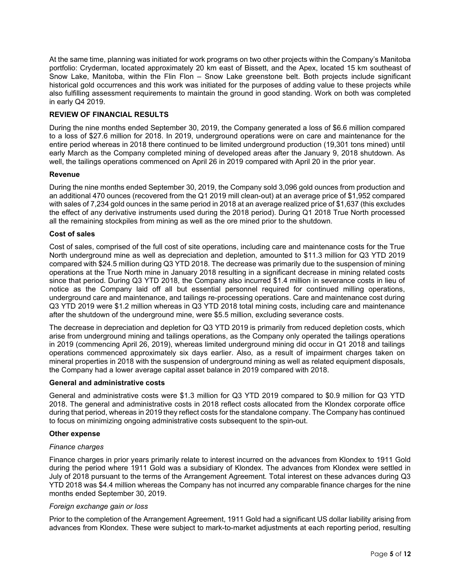At the same time, planning was initiated for work programs on two other projects within the Company's Manitoba portfolio: Cryderman, located approximately 20 km east of Bissett, and the Apex, located 15 km southeast of Snow Lake, Manitoba, within the Flin Flon – Snow Lake greenstone belt. Both projects include significant historical gold occurrences and this work was initiated for the purposes of adding value to these projects while also fulfilling assessment requirements to maintain the ground in good standing. Work on both was completed in early Q4 2019.

#### **REVIEW OF FINANCIAL RESULTS**

During the nine months ended September 30, 2019, the Company generated a loss of \$6.6 million compared to a loss of \$27.6 million for 2018. In 2019, underground operations were on care and maintenance for the entire period whereas in 2018 there continued to be limited underground production (19,301 tons mined) until early March as the Company completed mining of developed areas after the January 9, 2018 shutdown. As well, the tailings operations commenced on April 26 in 2019 compared with April 20 in the prior year.

## **Revenue**

During the nine months ended September 30, 2019, the Company sold 3,096 gold ounces from production and an additional 470 ounces (recovered from the Q1 2019 mill clean-out) at an average price of \$1,952 compared with sales of 7,234 gold ounces in the same period in 2018 at an average realized price of \$1,637 (this excludes the effect of any derivative instruments used during the 2018 period). During Q1 2018 True North processed all the remaining stockpiles from mining as well as the ore mined prior to the shutdown.

#### **Cost of sales**

Cost of sales, comprised of the full cost of site operations, including care and maintenance costs for the True North underground mine as well as depreciation and depletion, amounted to \$11.3 million for Q3 YTD 2019 compared with \$24.5 million during Q3 YTD 2018. The decrease was primarily due to the suspension of mining operations at the True North mine in January 2018 resulting in a significant decrease in mining related costs since that period. During Q3 YTD 2018, the Company also incurred \$1.4 million in severance costs in lieu of notice as the Company laid off all but essential personnel required for continued milling operations, underground care and maintenance, and tailings re-processing operations. Care and maintenance cost during Q3 YTD 2019 were \$1.2 million whereas in Q3 YTD 2018 total mining costs, including care and maintenance after the shutdown of the underground mine, were \$5.5 million, excluding severance costs.

The decrease in depreciation and depletion for Q3 YTD 2019 is primarily from reduced depletion costs, which arise from underground mining and tailings operations, as the Company only operated the tailings operations in 2019 (commencing April 26, 2019), whereas limited underground mining did occur in Q1 2018 and tailings operations commenced approximately six days earlier. Also, as a result of impairment charges taken on mineral properties in 2018 with the suspension of underground mining as well as related equipment disposals, the Company had a lower average capital asset balance in 2019 compared with 2018.

#### **General and administrative costs**

General and administrative costs were \$1.3 million for Q3 YTD 2019 compared to \$0.9 million for Q3 YTD 2018. The general and administrative costs in 2018 reflect costs allocated from the Klondex corporate office during that period, whereas in 2019 they reflect costs for the standalone company. The Company has continued to focus on minimizing ongoing administrative costs subsequent to the spin-out.

#### **Other expense**

#### *Finance charges*

Finance charges in prior years primarily relate to interest incurred on the advances from Klondex to 1911 Gold during the period where 1911 Gold was a subsidiary of Klondex. The advances from Klondex were settled in July of 2018 pursuant to the terms of the Arrangement Agreement. Total interest on these advances during Q3 YTD 2018 was \$4.4 million whereas the Company has not incurred any comparable finance charges for the nine months ended September 30, 2019.

#### *Foreign exchange gain or loss*

Prior to the completion of the Arrangement Agreement, 1911 Gold had a significant US dollar liability arising from advances from Klondex. These were subject to mark-to-market adjustments at each reporting period, resulting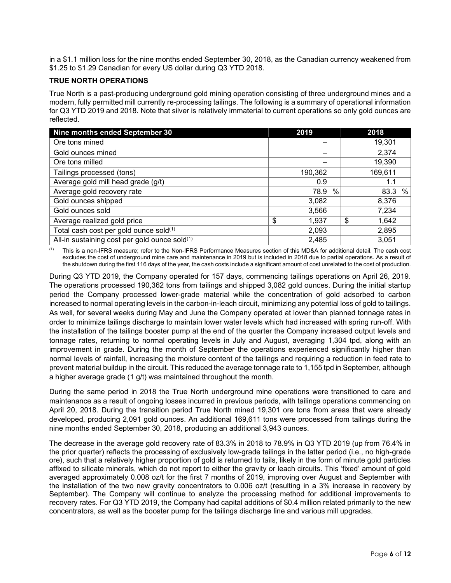in a \$1.1 million loss for the nine months ended September 30, 2018, as the Canadian currency weakened from \$1.25 to \$1.29 Canadian for every US dollar during Q3 YTD 2018.

## **TRUE NORTH OPERATIONS**

True North is a past-producing underground gold mining operation consisting of three underground mines and a modern, fully permitted mill currently re-processing tailings. The following is a summary of operational information for Q3 YTD 2019 and 2018. Note that silver is relatively immaterial to current operations so only gold ounces are reflected.

| Nine months ended September 30                | 2019        |      | 2018        |
|-----------------------------------------------|-------------|------|-------------|
| Ore tons mined                                |             |      | 19,301      |
| Gold ounces mined                             |             |      | 2,374       |
| Ore tons milled                               |             |      | 19,390      |
| Tailings processed (tons)                     | 190,362     |      | 169,611     |
| Average gold mill head grade (g/t)            | 0.9         |      | 1.1         |
| Average gold recovery rate                    | 78.9        | $\%$ | %<br>83.3   |
| Gold ounces shipped                           | 3,082       |      | 8,376       |
| Gold ounces sold                              | 3,566       |      | 7,234       |
| Average realized gold price                   | \$<br>1,937 |      | \$<br>1,642 |
| Total cash cost per gold ounce sold(1)        | 2,093       |      | 2,895       |
| All-in sustaining cost per gold ounce sold(1) | 2,485       |      | 3,051       |

(1) This is a non-IFRS measure; refer to the Non-IFRS Performance Measures section of this MD&A for additional detail. The cash cost excludes the cost of underground mine care and maintenance in 2019 but is included in 2018 due to partial operations. As a result of the shutdown during the first 116 days of the year, the cash costs include a significant amount of cost unrelated to the cost of production.

During Q3 YTD 2019, the Company operated for 157 days, commencing tailings operations on April 26, 2019. The operations processed 190,362 tons from tailings and shipped 3,082 gold ounces. During the initial startup period the Company processed lower-grade material while the concentration of gold adsorbed to carbon increased to normal operating levels in the carbon-in-leach circuit, minimizing any potential loss of gold to tailings. As well, for several weeks during May and June the Company operated at lower than planned tonnage rates in order to minimize tailings discharge to maintain lower water levels which had increased with spring run-off. With the installation of the tailings booster pump at the end of the quarter the Company increased output levels and tonnage rates, returning to normal operating levels in July and August, averaging 1,304 tpd, along with an improvement in grade. During the month of September the operations experienced significantly higher than normal levels of rainfall, increasing the moisture content of the tailings and requiring a reduction in feed rate to prevent material buildup in the circuit. This reduced the average tonnage rate to 1,155 tpd in September, although a higher average grade (1 g/t) was maintained throughout the month.

During the same period in 2018 the True North underground mine operations were transitioned to care and maintenance as a result of ongoing losses incurred in previous periods, with tailings operations commencing on April 20, 2018. During the transition period True North mined 19,301 ore tons from areas that were already developed, producing 2,091 gold ounces. An additional 169,611 tons were processed from tailings during the nine months ended September 30, 2018, producing an additional 3,943 ounces.

The decrease in the average gold recovery rate of 83.3% in 2018 to 78.9% in Q3 YTD 2019 (up from 76.4% in the prior quarter) reflects the processing of exclusively low-grade tailings in the latter period (i.e., no high-grade ore), such that a relatively higher proportion of gold is returned to tails, likely in the form of minute gold particles affixed to silicate minerals, which do not report to either the gravity or leach circuits. This 'fixed' amount of gold averaged approximately 0.008 oz/t for the first 7 months of 2019, improving over August and September with the installation of the two new gravity concentrators to 0.006 oz/t (resulting in a 3% increase in recovery by September). The Company will continue to analyze the processing method for additional improvements to recovery rates. For Q3 YTD 2019, the Company had capital additions of \$0.4 million related primarily to the new concentrators, as well as the booster pump for the tailings discharge line and various mill upgrades.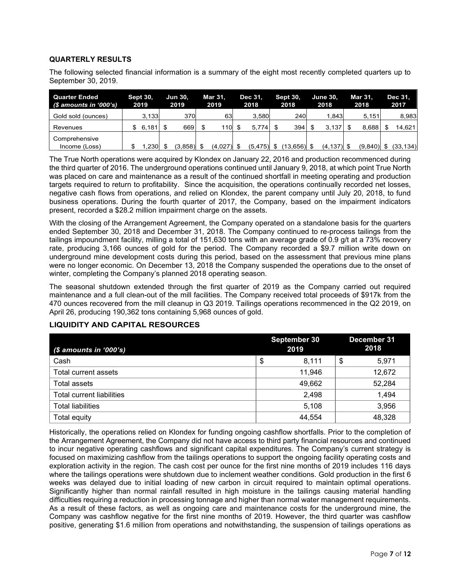# **QUARTERLY RESULTS**

The following selected financial information is a summary of the eight most recently completed quarters up to September 30, 2019.

| <b>Quarter Ended</b><br>(\$ amounts in '000's) |     | <b>Sept 30,</b><br>2019 | <b>Jun 30,</b><br>2019 | Mar 31.<br>2019 | Dec 31.<br>2018 | <b>Sept 30,</b><br>2018 | <b>June 30.</b><br>2018 | <b>Mar 31.</b><br>2018 | Dec 31.<br>2017 |
|------------------------------------------------|-----|-------------------------|------------------------|-----------------|-----------------|-------------------------|-------------------------|------------------------|-----------------|
| Gold sold (ounces)                             |     | 3.133                   | 370                    | 63              | 3.580           | 240                     | 1.843                   | 5.151                  | 8,983           |
| Revenues                                       | \$. | 6,181                   | 669                    | 110             | 5.774           | 394                     | 3.137                   | 8.688                  | 14.621          |
| Comprehensive                                  |     |                         |                        |                 |                 |                         |                         |                        |                 |
| Income (Loss)                                  |     | .230                    | $(3,858)$ \$           | $(4,027)$ \$    | $(5, 475)$ \$   | (13.656) \$             | $(4, 137)$ \$           | (9.840)                | (33, 134)       |

The True North operations were acquired by Klondex on January 22, 2016 and production recommenced during the third quarter of 2016. The underground operations continued until January 9, 2018, at which point True North was placed on care and maintenance as a result of the continued shortfall in meeting operating and production targets required to return to profitability. Since the acquisition, the operations continually recorded net losses, negative cash flows from operations, and relied on Klondex, the parent company until July 20, 2018, to fund business operations. During the fourth quarter of 2017, the Company, based on the impairment indicators present, recorded a \$28.2 million impairment charge on the assets.

With the closing of the Arrangement Agreement, the Company operated on a standalone basis for the quarters ended September 30, 2018 and December 31, 2018. The Company continued to re-process tailings from the tailings impoundment facility, milling a total of 151,630 tons with an average grade of 0.9 g/t at a 73% recovery rate, producing 3,166 ounces of gold for the period. The Company recorded a \$9.7 million write down on underground mine development costs during this period, based on the assessment that previous mine plans were no longer economic. On December 13, 2018 the Company suspended the operations due to the onset of winter, completing the Company's planned 2018 operating season.

The seasonal shutdown extended through the first quarter of 2019 as the Company carried out required maintenance and a full clean-out of the mill facilities. The Company received total proceeds of \$917k from the 470 ounces recovered from the mill cleanup in Q3 2019. Tailings operations recommenced in the Q2 2019, on April 26, producing 190,362 tons containing 5,968 ounces of gold.

#### *(\$ amounts in '000's)* **September 30 2019 December 31 2018**  $\begin{array}{ccc} \text{Cash} & \text{9} & \text{10} \end{array} \hspace{2cm} \begin{array}{ccc} \text{Cash} & \text{11} & \text{12} & \text{13} \end{array} \hspace{2cm} \begin{array}{ccc} \text{9} & \text{10} & \text{11} & \text{13} & \text{15} \end{array} \hspace{2cm} \begin{array}{ccc} \text{10} & \text{11} & \text{12} & \text{13} & \text{15} \end{array}$ Total current assets **11,946** 11,946 12,672 Total assets  $\begin{array}{|c|c|c|c|c|c|}\hline \text{quad} & \text{quad} & \text{49,662} & \text{52,284} \ \hline \end{array}$ Total current liabilities 2,498 1,494 Total liabilities 5,108 3,956 Total equity 44,554 48,328

#### **LIQUIDITY AND CAPITAL RESOURCES**

Historically, the operations relied on Klondex for funding ongoing cashflow shortfalls. Prior to the completion of the Arrangement Agreement, the Company did not have access to third party financial resources and continued to incur negative operating cashflows and significant capital expenditures. The Company's current strategy is focused on maximizing cashflow from the tailings operations to support the ongoing facility operating costs and exploration activity in the region. The cash cost per ounce for the first nine months of 2019 includes 116 days where the tailings operations were shutdown due to inclement weather conditions. Gold production in the first 6 weeks was delayed due to initial loading of new carbon in circuit required to maintain optimal operations. Significantly higher than normal rainfall resulted in high moisture in the tailings causing material handling difficulties requiring a reduction in processing tonnage and higher than normal water management requirements. As a result of these factors, as well as ongoing care and maintenance costs for the underground mine, the Company was cashflow negative for the first nine months of 2019. However, the third quarter was cashflow positive, generating \$1.6 million from operations and notwithstanding, the suspension of tailings operations as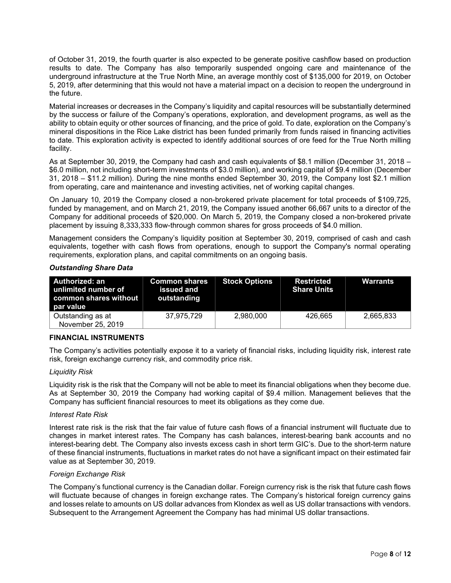of October 31, 2019, the fourth quarter is also expected to be generate positive cashflow based on production results to date. The Company has also temporarily suspended ongoing care and maintenance of the underground infrastructure at the True North Mine, an average monthly cost of \$135,000 for 2019, on October 5, 2019, after determining that this would not have a material impact on a decision to reopen the underground in the future.

Material increases or decreases in the Company's liquidity and capital resources will be substantially determined by the success or failure of the Company's operations, exploration, and development programs, as well as the ability to obtain equity or other sources of financing, and the price of gold. To date, exploration on the Company's mineral dispositions in the Rice Lake district has been funded primarily from funds raised in financing activities to date. This exploration activity is expected to identify additional sources of ore feed for the True North milling facility.

As at September 30, 2019, the Company had cash and cash equivalents of \$8.1 million (December 31, 2018 – \$6.0 million, not including short-term investments of \$3.0 million), and working capital of \$9.4 million (December 31, 2018 – \$11.2 million). During the nine months ended September 30, 2019, the Company lost \$2.1 million from operating, care and maintenance and investing activities, net of working capital changes.

On January 10, 2019 the Company closed a non-brokered private placement for total proceeds of \$109,725, funded by management, and on March 21, 2019, the Company issued another 66,667 units to a director of the Company for additional proceeds of \$20,000. On March 5, 2019, the Company closed a non-brokered private placement by issuing 8,333,333 flow-through common shares for gross proceeds of \$4.0 million.

Management considers the Company's liquidity position at September 30, 2019, comprised of cash and cash equivalents, together with cash flows from operations, enough to support the Company's normal operating requirements, exploration plans, and capital commitments on an ongoing basis.

| Authorized: an<br>unlimited number of<br>common shares without<br>par value | <b>Common shares</b><br>issued and<br>outstanding | <b>Stock Options</b> | <b>Restricted</b><br><b>Share Units</b> | Warrants  |
|-----------------------------------------------------------------------------|---------------------------------------------------|----------------------|-----------------------------------------|-----------|
| Outstanding as at<br>November 25, 2019                                      | 37.975.729                                        | 2,980,000            | 426.665                                 | 2,665,833 |

#### *Outstanding Share Data*

#### **FINANCIAL INSTRUMENTS**

The Company's activities potentially expose it to a variety of financial risks, including liquidity risk, interest rate risk, foreign exchange currency risk, and commodity price risk.

#### *Liquidity Risk*

Liquidity risk is the risk that the Company will not be able to meet its financial obligations when they become due. As at September 30, 2019 the Company had working capital of \$9.4 million. Management believes that the Company has sufficient financial resources to meet its obligations as they come due.

#### *Interest Rate Risk*

Interest rate risk is the risk that the fair value of future cash flows of a financial instrument will fluctuate due to changes in market interest rates. The Company has cash balances, interest-bearing bank accounts and no interest-bearing debt. The Company also invests excess cash in short term GIC's. Due to the short-term nature of these financial instruments, fluctuations in market rates do not have a significant impact on their estimated fair value as at September 30, 2019.

#### *Foreign Exchange Risk*

The Company's functional currency is the Canadian dollar. Foreign currency risk is the risk that future cash flows will fluctuate because of changes in foreign exchange rates. The Company's historical foreign currency gains and losses relate to amounts on US dollar advances from Klondex as well as US dollar transactions with vendors. Subsequent to the Arrangement Agreement the Company has had minimal US dollar transactions.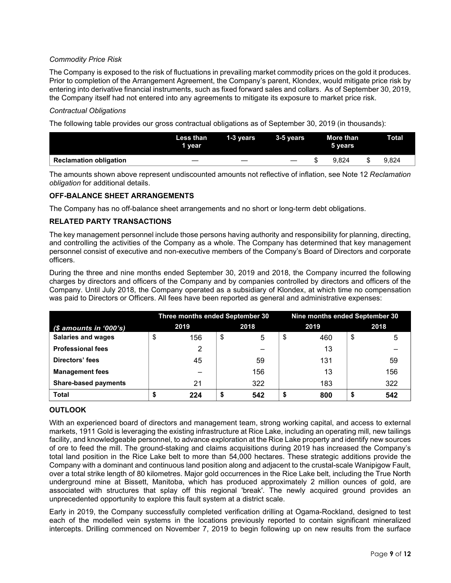# *Commodity Price Risk*

The Company is exposed to the risk of fluctuations in prevailing market commodity prices on the gold it produces. Prior to completion of the Arrangement Agreement, the Company's parent, Klondex, would mitigate price risk by entering into derivative financial instruments, such as fixed forward sales and collars. As of September 30, 2019, the Company itself had not entered into any agreements to mitigate its exposure to market price risk.

#### *Contractual Obligations*

The following table provides our gross contractual obligations as of September 30, 2019 (in thousands):

|                               | <b>Less than</b><br>1 vear | 1-3 years | 3-5 vears                | More than<br>5 vears | Total |
|-------------------------------|----------------------------|-----------|--------------------------|----------------------|-------|
| <b>Reclamation obligation</b> |                            |           | $\overline{\phantom{m}}$ | 9.824                | 9.824 |

The amounts shown above represent undiscounted amounts not reflective of inflation, see Note 12 *Reclamation obligation* for additional details.

## **OFF-BALANCE SHEET ARRANGEMENTS**

The Company has no off-balance sheet arrangements and no short or long-term debt obligations.

## **RELATED PARTY TRANSACTIONS**

The key management personnel include those persons having authority and responsibility for planning, directing, and controlling the activities of the Company as a whole. The Company has determined that key management personnel consist of executive and non-executive members of the Company's Board of Directors and corporate officers.

During the three and nine months ended September 30, 2019 and 2018, the Company incurred the following charges by directors and officers of the Company and by companies controlled by directors and officers of the Company. Until July 2018, the Company operated as a subsidiary of Klondex, at which time no compensation was paid to Directors or Officers. All fees have been reported as general and administrative expenses:

|                             | Three months ended September 30 |     |    |     | Nine months ended September 30 |      |    |      |  |  |
|-----------------------------|---------------------------------|-----|----|-----|--------------------------------|------|----|------|--|--|
| $$$ amounts in '000's)      | 2018<br>2019                    |     |    |     |                                | 2019 |    | 2018 |  |  |
| <b>Salaries and wages</b>   | \$                              | 156 | \$ | 5   | \$                             | 460  | \$ | 5    |  |  |
| <b>Professional fees</b>    |                                 | 2   |    |     |                                | 13   |    |      |  |  |
| Directors' fees             |                                 | 45  |    | 59  |                                | 131  |    | 59   |  |  |
| <b>Management fees</b>      |                                 |     |    | 156 |                                | 13   |    | 156  |  |  |
| <b>Share-based payments</b> |                                 | 21  |    | 322 |                                | 183  |    | 322  |  |  |
| <b>Total</b>                |                                 | 224 | S  | 542 |                                | 800  | S  | 542  |  |  |

# **OUTLOOK**

With an experienced board of directors and management team, strong working capital, and access to external markets, 1911 Gold is leveraging the existing infrastructure at Rice Lake, including an operating mill, new tailings facility, and knowledgeable personnel, to advance exploration at the Rice Lake property and identify new sources of ore to feed the mill. The ground-staking and claims acquisitions during 2019 has increased the Company's total land position in the Rice Lake belt to more than 54,000 hectares. These strategic additions provide the Company with a dominant and continuous land position along and adjacent to the crustal-scale Wanipigow Fault, over a total strike length of 80 kilometres. Major gold occurrences in the Rice Lake belt, including the True North underground mine at Bissett, Manitoba, which has produced approximately 2 million ounces of gold, are associated with structures that splay off this regional 'break'. The newly acquired ground provides an unprecedented opportunity to explore this fault system at a district scale.

Early in 2019, the Company successfully completed verification drilling at Ogama-Rockland, designed to test each of the modelled vein systems in the locations previously reported to contain significant mineralized intercepts. Drilling commenced on November 7, 2019 to begin following up on new results from the surface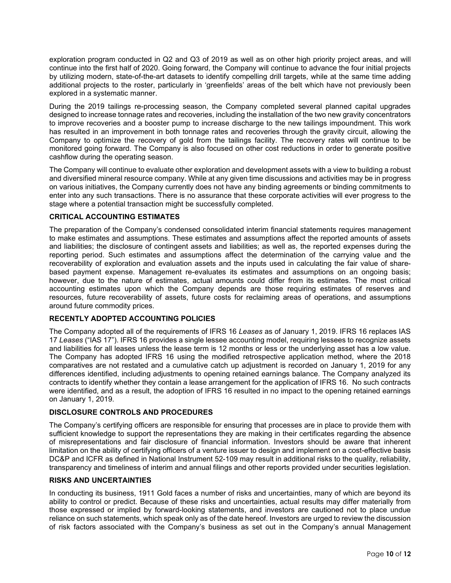exploration program conducted in Q2 and Q3 of 2019 as well as on other high priority project areas, and will continue into the first half of 2020. Going forward, the Company will continue to advance the four initial projects by utilizing modern, state-of-the-art datasets to identify compelling drill targets, while at the same time adding additional projects to the roster, particularly in 'greenfields' areas of the belt which have not previously been explored in a systematic manner.

During the 2019 tailings re-processing season, the Company completed several planned capital upgrades designed to increase tonnage rates and recoveries, including the installation of the two new gravity concentrators to improve recoveries and a booster pump to increase discharge to the new tailings impoundment. This work has resulted in an improvement in both tonnage rates and recoveries through the gravity circuit, allowing the Company to optimize the recovery of gold from the tailings facility. The recovery rates will continue to be monitored going forward. The Company is also focused on other cost reductions in order to generate positive cashflow during the operating season.

The Company will continue to evaluate other exploration and development assets with a view to building a robust and diversified mineral resource company. While at any given time discussions and activities may be in progress on various initiatives, the Company currently does not have any binding agreements or binding commitments to enter into any such transactions. There is no assurance that these corporate activities will ever progress to the stage where a potential transaction might be successfully completed.

#### **CRITICAL ACCOUNTING ESTIMATES**

The preparation of the Company's condensed consolidated interim financial statements requires management to make estimates and assumptions. These estimates and assumptions affect the reported amounts of assets and liabilities; the disclosure of contingent assets and liabilities; as well as, the reported expenses during the reporting period. Such estimates and assumptions affect the determination of the carrying value and the recoverability of exploration and evaluation assets and the inputs used in calculating the fair value of sharebased payment expense. Management re-evaluates its estimates and assumptions on an ongoing basis; however, due to the nature of estimates, actual amounts could differ from its estimates. The most critical accounting estimates upon which the Company depends are those requiring estimates of reserves and resources, future recoverability of assets, future costs for reclaiming areas of operations, and assumptions around future commodity prices.

#### **RECENTLY ADOPTED ACCOUNTING POLICIES**

The Company adopted all of the requirements of IFRS 16 *Leases* as of January 1, 2019. IFRS 16 replaces IAS 17 *Leases* ("IAS 17"). IFRS 16 provides a single lessee accounting model, requiring lessees to recognize assets and liabilities for all leases unless the lease term is 12 months or less or the underlying asset has a low value. The Company has adopted IFRS 16 using the modified retrospective application method, where the 2018 comparatives are not restated and a cumulative catch up adjustment is recorded on January 1, 2019 for any differences identified, including adjustments to opening retained earnings balance. The Company analyzed its contracts to identify whether they contain a lease arrangement for the application of IFRS 16. No such contracts were identified, and as a result, the adoption of IFRS 16 resulted in no impact to the opening retained earnings on January 1, 2019.

#### **DISCLOSURE CONTROLS AND PROCEDURES**

The Company's certifying officers are responsible for ensuring that processes are in place to provide them with sufficient knowledge to support the representations they are making in their certificates regarding the absence of misrepresentations and fair disclosure of financial information. Investors should be aware that inherent limitation on the ability of certifying officers of a venture issuer to design and implement on a cost-effective basis DC&P and ICFR as defined in National Instrument 52-109 may result in additional risks to the quality, reliability, transparency and timeliness of interim and annual filings and other reports provided under securities legislation.

#### **RISKS AND UNCERTAINTIES**

In conducting its business, 1911 Gold faces a number of risks and uncertainties, many of which are beyond its ability to control or predict. Because of these risks and uncertainties, actual results may differ materially from those expressed or implied by forward-looking statements, and investors are cautioned not to place undue reliance on such statements, which speak only as of the date hereof. Investors are urged to review the discussion of risk factors associated with the Company's business as set out in the Company's annual Management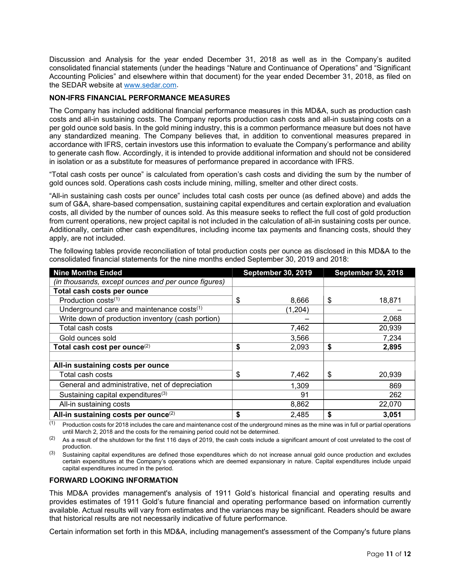Discussion and Analysis for the year ended December 31, 2018 as well as in the Company's audited consolidated financial statements (under the headings "Nature and Continuance of Operations" and "Significant Accounting Policies" and elsewhere within that document) for the year ended December 31, 2018, as filed on the SEDAR website at [www.sedar.com.](http://www.sedar.com/)

## **NON-IFRS FINANCIAL PERFORMANCE MEASURES**

The Company has included additional financial performance measures in this MD&A, such as production cash costs and all-in sustaining costs. The Company reports production cash costs and all-in sustaining costs on a per gold ounce sold basis. In the gold mining industry, this is a common performance measure but does not have any standardized meaning. The Company believes that, in addition to conventional measures prepared in accordance with IFRS, certain investors use this information to evaluate the Company's performance and ability to generate cash flow. Accordingly, it is intended to provide additional information and should not be considered in isolation or as a substitute for measures of performance prepared in accordance with IFRS.

"Total cash costs per ounce" is calculated from operation's cash costs and dividing the sum by the number of gold ounces sold. Operations cash costs include mining, milling, smelter and other direct costs.

"All-in sustaining cash costs per ounce" includes total cash costs per ounce (as defined above) and adds the sum of G&A, share-based compensation, sustaining capital expenditures and certain exploration and evaluation costs, all divided by the number of ounces sold. As this measure seeks to reflect the full cost of gold production from current operations, new project capital is not included in the calculation of all-in sustaining costs per ounce. Additionally, certain other cash expenditures, including income tax payments and financing costs, should they apply, are not included.

| <b>Nine Months Ended</b>                            | <b>September 30, 2019</b> | <b>September 30, 2018</b> |
|-----------------------------------------------------|---------------------------|---------------------------|
| (in thousands, except ounces and per ounce figures) |                           |                           |
| Total cash costs per ounce                          |                           |                           |
| Production costs <sup>(1)</sup>                     | 8,666<br>\$               | 18,871<br>\$              |
| Underground care and maintenance costs(1)           | (1, 204)                  |                           |
| Write down of production inventory (cash portion)   |                           | 2,068                     |
| Total cash costs                                    | 7,462                     | 20,939                    |
| Gold ounces sold                                    | 3,566                     | 7,234                     |
| Total cash cost per ounce <sup>(2)</sup>            | \$<br>2,093               | \$<br>2,895               |
|                                                     |                           |                           |
| All-in sustaining costs per ounce                   |                           |                           |
| Total cash costs                                    | \$<br>7,462               | \$<br>20,939              |
| General and administrative, net of depreciation     | 1,309                     | 869                       |
| Sustaining capital expenditures <sup>(3)</sup>      | 91                        | 262                       |
| All-in sustaining costs                             | 8,862                     | 22,070                    |
| All-in sustaining costs per ounce <sup>(2)</sup>    | \$<br>2,485               | \$<br>3,051               |

The following tables provide reconciliation of total production costs per ounce as disclosed in this MD&A to the consolidated financial statements for the nine months ended September 30, 2019 and 2018:

 $(1)$  Production costs for 2018 includes the care and maintenance cost of the underground mines as the mine was in full or partial operations until March 2, 2018 and the costs for the remaining period could not be determined.

 $(2)$  As a result of the shutdown for the first 116 days of 2019, the cash costs include a significant amount of cost unrelated to the cost of production.

Sustaining capital expenditures are defined those expenditures which do not increase annual gold ounce production and excludes certain expenditures at the Company's operations which are deemed expansionary in nature. Capital expenditures include unpaid capital expenditures incurred in the period.

#### **FORWARD LOOKING INFORMATION**

This MD&A provides management's analysis of 1911 Gold's historical financial and operating results and provides estimates of 1911 Gold's future financial and operating performance based on information currently available. Actual results will vary from estimates and the variances may be significant. Readers should be aware that historical results are not necessarily indicative of future performance.

Certain information set forth in this MD&A, including management's assessment of the Company's future plans